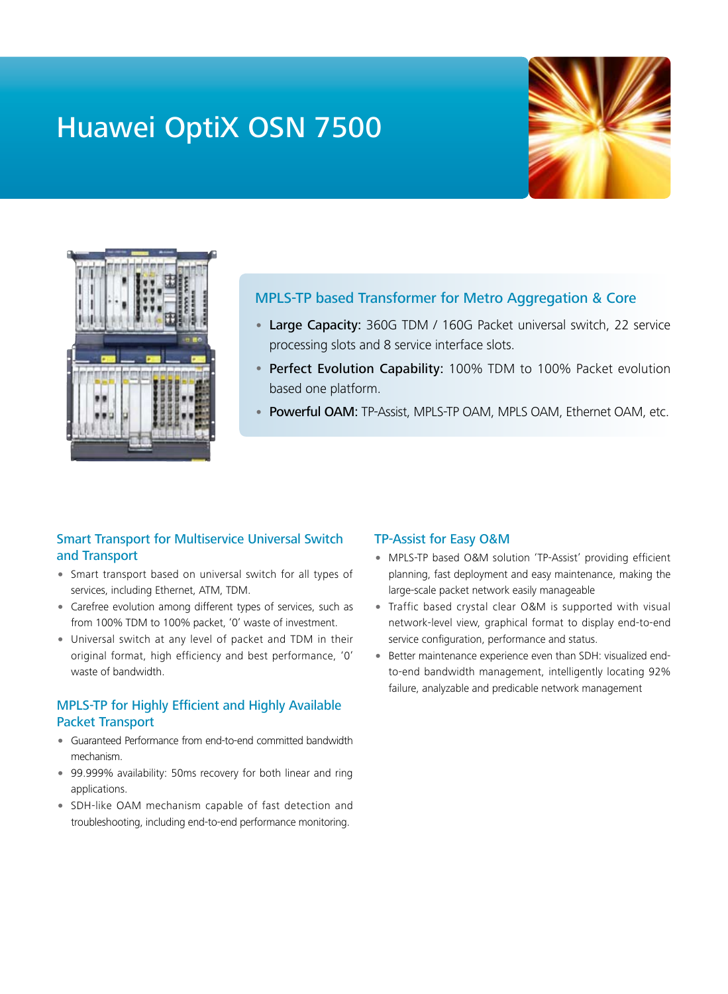# Huawei OptiX OSN 7500





## MPLS-TP based Transformer for Metro Aggregation & Core

- Large Capacity: 360G TDM / 160G Packet universal switch, 22 service processing slots and 8 service interface slots.
- Perfect Evolution Capability: 100% TDM to 100% Packet evolution based one platform.
- Powerful OAM: TP-Assist, MPLS-TP OAM, MPLS OAM, Ethernet OAM, etc.

#### Smart Transport for Multiservice Universal Switch and Transport

- Smart transport based on universal switch for all types of services, including Ethernet, ATM, TDM.
- Carefree evolution among different types of services, such as from 100% TDM to 100% packet, '0' waste of investment.
- Universal switch at any level of packet and TDM in their original format, high efficiency and best performance, '0' waste of bandwidth.

### MPLS-TP for Highly Efficient and Highly Available Packet Transport

- Guaranteed Performance from end-to-end committed bandwidth mechanism.
- 99.999% availability: 50ms recovery for both linear and ring applications.
- SDH-like OAM mechanism capable of fast detection and troubleshooting, including end-to-end performance monitoring.

#### TP-Assist for Easy O&M

- MPLS-TP based O&M solution 'TP-Assist' providing efficient planning, fast deployment and easy maintenance, making the large-scale packet network easily manageable
- Traffic based crystal clear O&M is supported with visual network-level view, graphical format to display end-to-end service configuration, performance and status.
- Better maintenance experience even than SDH: visualized endto-end bandwidth management, intelligently locating 92% failure, analyzable and predicable network management